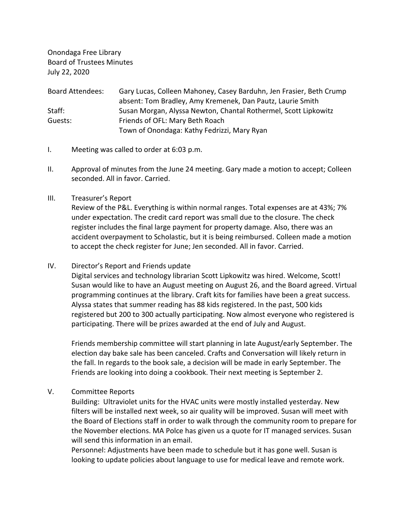Onondaga Free Library Board of Trustees Minutes July 22, 2020

| <b>Board Attendees:</b> | Gary Lucas, Colleen Mahoney, Casey Barduhn, Jen Frasier, Beth Crump |
|-------------------------|---------------------------------------------------------------------|
|                         | absent: Tom Bradley, Amy Kremenek, Dan Pautz, Laurie Smith          |
| Staff:                  | Susan Morgan, Alyssa Newton, Chantal Rothermel, Scott Lipkowitz     |
| Guests:                 | Friends of OFL: Mary Beth Roach                                     |
|                         | Town of Onondaga: Kathy Fedrizzi, Mary Ryan                         |

- I. Meeting was called to order at 6:03 p.m.
- II. Approval of minutes from the June 24 meeting. Gary made a motion to accept; Colleen seconded. All in favor. Carried.
- III. Treasurer's Report

Review of the P&L. Everything is within normal ranges. Total expenses are at 43%; 7% under expectation. The credit card report was small due to the closure. The check register includes the final large payment for property damage. Also, there was an accident overpayment to Scholastic, but it is being reimbursed. Colleen made a motion to accept the check register for June; Jen seconded. All in favor. Carried.

IV. Director's Report and Friends update

Digital services and technology librarian Scott Lipkowitz was hired. Welcome, Scott! Susan would like to have an August meeting on August 26, and the Board agreed. Virtual programming continues at the library. Craft kits for families have been a great success. Alyssa states that summer reading has 88 kids registered. In the past, 500 kids registered but 200 to 300 actually participating. Now almost everyone who registered is participating. There will be prizes awarded at the end of July and August.

Friends membership committee will start planning in late August/early September. The election day bake sale has been canceled. Crafts and Conversation will likely return in the fall. In regards to the book sale, a decision will be made in early September. The Friends are looking into doing a cookbook. Their next meeting is September 2.

V. Committee Reports

Building: Ultraviolet units for the HVAC units were mostly installed yesterday. New filters will be installed next week, so air quality will be improved. Susan will meet with the Board of Elections staff in order to walk through the community room to prepare for the November elections. MA Polce has given us a quote for IT managed services. Susan will send this information in an email.

Personnel: Adjustments have been made to schedule but it has gone well. Susan is looking to update policies about language to use for medical leave and remote work.